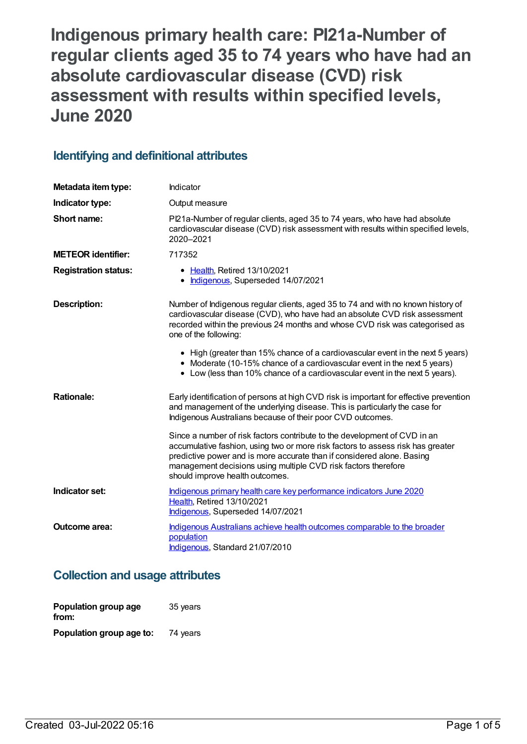**Indigenous primary health care: PI21a-Number of regular clients aged 35 to 74 years who have had an absolute cardiovascular disease (CVD) risk assessment with results within specified levels, June 2020**

## **Identifying and definitional attributes**

| Metadata item type:         | Indicator                                                                                                                                                                                                                                                                                                                                   |
|-----------------------------|---------------------------------------------------------------------------------------------------------------------------------------------------------------------------------------------------------------------------------------------------------------------------------------------------------------------------------------------|
| Indicator type:             | Output measure                                                                                                                                                                                                                                                                                                                              |
| Short name:                 | Pl21a-Number of regular clients, aged 35 to 74 years, who have had absolute<br>cardiovascular disease (CVD) risk assessment with results within specified levels,<br>2020-2021                                                                                                                                                              |
| <b>METEOR identifier:</b>   | 717352                                                                                                                                                                                                                                                                                                                                      |
| <b>Registration status:</b> | • Health, Retired 13/10/2021<br>• Indigenous, Superseded 14/07/2021                                                                                                                                                                                                                                                                         |
| <b>Description:</b>         | Number of Indigenous regular clients, aged 35 to 74 and with no known history of<br>cardiovascular disease (CVD), who have had an absolute CVD risk assessment<br>recorded within the previous 24 months and whose CVD risk was categorised as<br>one of the following:                                                                     |
|                             | • High (greater than 15% chance of a cardiovascular event in the next 5 years)<br>• Moderate (10-15% chance of a cardiovascular event in the next 5 years)<br>• Low (less than 10% chance of a cardiovascular event in the next 5 years).                                                                                                   |
| <b>Rationale:</b>           | Early identification of persons at high CVD risk is important for effective prevention<br>and management of the underlying disease. This is particularly the case for<br>Indigenous Australians because of their poor CVD outcomes.                                                                                                         |
|                             | Since a number of risk factors contribute to the development of CVD in an<br>accumulative fashion, using two or more risk factors to assess risk has greater<br>predictive power and is more accurate than if considered alone. Basing<br>management decisions using multiple CVD risk factors therefore<br>should improve health outcomes. |
| Indicator set:              | Indigenous primary health care key performance indicators June 2020<br>Health, Retired 13/10/2021<br>Indigenous, Superseded 14/07/2021                                                                                                                                                                                                      |
| Outcome area:               | Indigenous Australians achieve health outcomes comparable to the broader<br>population<br>Indigenous, Standard 21/07/2010                                                                                                                                                                                                                   |

## **Collection and usage attributes**

| Population group age<br>from: | 35 years |
|-------------------------------|----------|
| Population group age to:      | 74 years |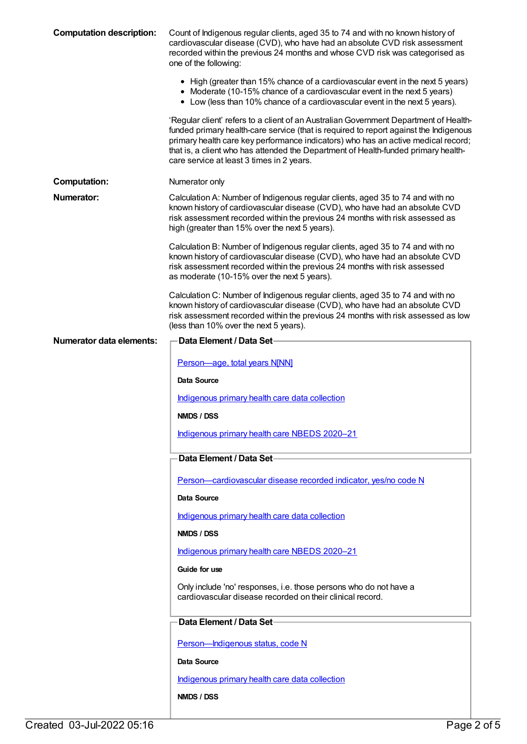| <b>Computation description:</b> | Count of Indigenous regular clients, aged 35 to 74 and with no known history of<br>cardiovascular disease (CVD), who have had an absolute CVD risk assessment<br>recorded within the previous 24 months and whose CVD risk was categorised as<br>one of the following:                                                                                                                                 |
|---------------------------------|--------------------------------------------------------------------------------------------------------------------------------------------------------------------------------------------------------------------------------------------------------------------------------------------------------------------------------------------------------------------------------------------------------|
|                                 | • High (greater than 15% chance of a cardiovascular event in the next 5 years)<br>• Moderate (10-15% chance of a cardiovascular event in the next 5 years)<br>• Low (less than 10% chance of a cardiovascular event in the next 5 years).                                                                                                                                                              |
|                                 | 'Regular client' refers to a client of an Australian Government Department of Health-<br>funded primary health-care service (that is required to report against the Indigenous<br>primary health care key performance indicators) who has an active medical record;<br>that is, a client who has attended the Department of Health-funded primary health-<br>care service at least 3 times in 2 years. |
| <b>Computation:</b>             | Numerator only                                                                                                                                                                                                                                                                                                                                                                                         |
| Numerator:                      | Calculation A: Number of Indigenous regular clients, aged 35 to 74 and with no<br>known history of cardiovascular disease (CVD), who have had an absolute CVD<br>risk assessment recorded within the previous 24 months with risk assessed as<br>high (greater than 15% over the next 5 years).                                                                                                        |
|                                 | Calculation B: Number of Indigenous regular clients, aged 35 to 74 and with no<br>known history of cardiovascular disease (CVD), who have had an absolute CVD<br>risk assessment recorded within the previous 24 months with risk assessed<br>as moderate (10-15% over the next 5 years).                                                                                                              |
|                                 | Calculation C: Number of Indigenous regular clients, aged 35 to 74 and with no<br>known history of cardiovascular disease (CVD), who have had an absolute CVD<br>risk assessment recorded within the previous 24 months with risk assessed as low<br>(less than 10% over the next 5 years).                                                                                                            |
| Numerator data elements:        | <b>Data Element / Data Set-</b>                                                                                                                                                                                                                                                                                                                                                                        |
|                                 | Person-age, total years N[NN]                                                                                                                                                                                                                                                                                                                                                                          |
|                                 | Data Source                                                                                                                                                                                                                                                                                                                                                                                            |
|                                 | Indigenous primary health care data collection                                                                                                                                                                                                                                                                                                                                                         |
|                                 | NMDS / DSS                                                                                                                                                                                                                                                                                                                                                                                             |
|                                 | Indigenous primary health care NBEDS 2020-21                                                                                                                                                                                                                                                                                                                                                           |
|                                 | Data Element / Data Set-                                                                                                                                                                                                                                                                                                                                                                               |
|                                 | Person-cardiovascular disease recorded indicator, yes/no code N                                                                                                                                                                                                                                                                                                                                        |
|                                 | Data Source                                                                                                                                                                                                                                                                                                                                                                                            |
|                                 | Indigenous primary health care data collection                                                                                                                                                                                                                                                                                                                                                         |
|                                 | NMDS / DSS                                                                                                                                                                                                                                                                                                                                                                                             |
|                                 | Indigenous primary health care NBEDS 2020-21                                                                                                                                                                                                                                                                                                                                                           |
|                                 | Guide for use                                                                                                                                                                                                                                                                                                                                                                                          |
|                                 | Only include 'no' responses, i.e. those persons who do not have a<br>cardiovascular disease recorded on their clinical record.                                                                                                                                                                                                                                                                         |
|                                 |                                                                                                                                                                                                                                                                                                                                                                                                        |
|                                 | Data Element / Data Set-                                                                                                                                                                                                                                                                                                                                                                               |
|                                 | Person-Indigenous status, code N                                                                                                                                                                                                                                                                                                                                                                       |
|                                 | Data Source                                                                                                                                                                                                                                                                                                                                                                                            |
|                                 | Indigenous primary health care data collection                                                                                                                                                                                                                                                                                                                                                         |
|                                 | NMDS / DSS                                                                                                                                                                                                                                                                                                                                                                                             |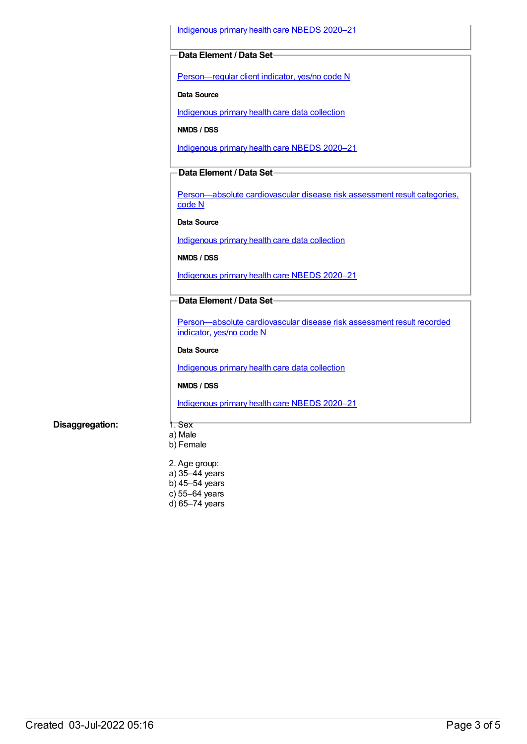[Indigenous](https://meteor.aihw.gov.au/content/715320) primary health care NBEDS 2020–21

### **Data Element / Data Set**

[Person—regular](https://meteor.aihw.gov.au/content/686291) client indicator, yes/no code N

**Data Source**

[Indigenous](https://meteor.aihw.gov.au/content/430643) primary health care data collection

**NMDS / DSS**

[Indigenous](https://meteor.aihw.gov.au/content/715320) primary health care NBEDS 2020–21

## **Data Element / Data Set**

[Person—absolute](https://meteor.aihw.gov.au/content/699029) cardiovascular disease risk assessment result categories, code N

**Data Source**

[Indigenous](https://meteor.aihw.gov.au/content/430643) primary health care data collection

**NMDS / DSS**

[Indigenous](https://meteor.aihw.gov.au/content/715320) primary health care NBEDS 2020–21

### **Data Element / Data Set**

[Person—absolute](https://meteor.aihw.gov.au/content/699031) cardiovascular disease risk assessment result recorded indicator, yes/no code N

### **Data Source**

[Indigenous](https://meteor.aihw.gov.au/content/430643) primary health care data collection

## **NMDS / DSS**

[Indigenous](https://meteor.aihw.gov.au/content/715320) primary health care NBEDS 2020–21

### **Disaggregation:** 1. Sex

a) Male b) Female

2. Age group: a) 35–44 years b) 45–54 years c) 55–64 years d) 65–74 years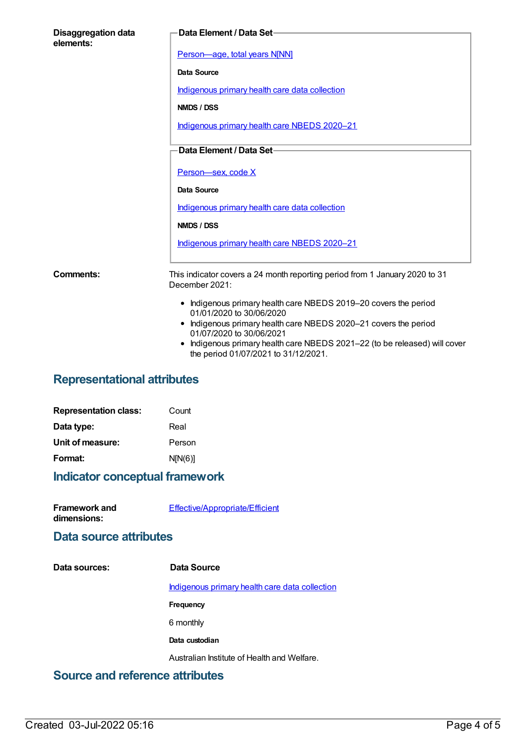| <b>Disaggregation data</b><br>elements: | Data Element / Data Set-                                                                                         |
|-----------------------------------------|------------------------------------------------------------------------------------------------------------------|
|                                         | Person-age, total years N[NN]                                                                                    |
|                                         | Data Source                                                                                                      |
|                                         | Indigenous primary health care data collection                                                                   |
|                                         | NMDS / DSS                                                                                                       |
|                                         | Indigenous primary health care NBEDS 2020-21                                                                     |
|                                         | Data Element / Data Set-                                                                                         |
|                                         |                                                                                                                  |
|                                         | Person-sex, code X                                                                                               |
|                                         | <b>Data Source</b>                                                                                               |
|                                         | Indigenous primary health care data collection                                                                   |
|                                         | NMDS / DSS                                                                                                       |
|                                         | Indigenous primary health care NBEDS 2020-21                                                                     |
| Comments:                               | This indicator covers a 24 month reporting period from 1 January 2020 to 31<br>December 2021:                    |
|                                         | • Indigenous primary health care NBEDS 2019-20 covers the period<br>01/01/2020 to 30/06/2020                     |
|                                         | • Indigenous primary health care NBEDS 2020-21 covers the period<br>01/07/2020 to 30/06/2021                     |
|                                         | Indigenous primary health care NBEDS 2021-22 (to be released) will cover<br>the period 01/07/2021 to 31/12/2021. |

# **Representational attributes**

| <b>Representation class:</b> | Count   |
|------------------------------|---------|
| Data type:                   | Real    |
| Unit of measure:             | Person  |
| Format:                      | N[N(6)] |

## **Indicator conceptual framework**

| <b>Framework and</b> | Effective/Appropriate/Efficient |
|----------------------|---------------------------------|
| dimensions:          |                                 |

## **Data source attributes**

**Data sources: Data Source**

[Indigenous](https://meteor.aihw.gov.au/content/430643) primary health care data collection

**Frequency**

6 monthly

**Data custodian**

Australian Institute of Health and Welfare.

# **Source and reference attributes**